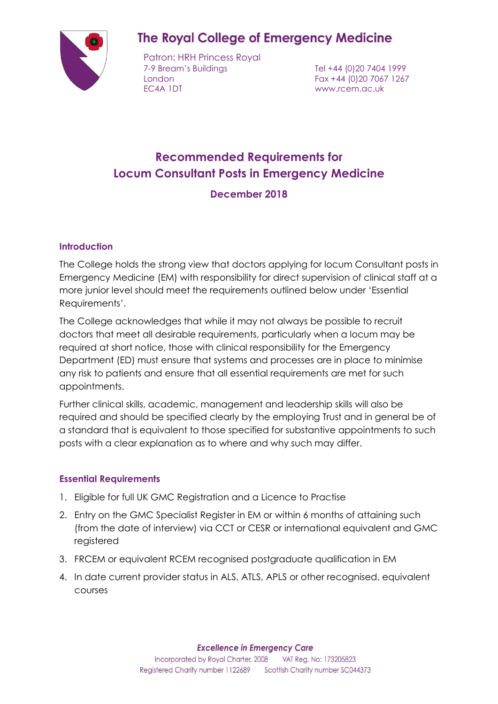

# **The Royal College of Emergency Medicine**

Patron: HRH Princess Royal 7-9 Bream's Buildings Tel +44 (0)20 7404 1999 London Fax +44 (0)20 7067 1267 EC4A 1DT www.rcem.ac.uk

# **Recommended Requirements for Locum Consultant Posts in Emergency Medicine**

### **December 2018**

#### **Introduction**

The College holds the strong view that doctors applying for locum Consultant posts in Emergency Medicine (EM) with responsibility for direct supervision of clinical staff at a more junior level should meet the requirements outlined below under 'Essential Requirements'.

The College acknowledges that while it may not always be possible to recruit doctors that meet all desirable requirements, particularly when a locum may be required at short notice, those with clinical responsibility for the Emergency Department (ED) must ensure that systems and processes are in place to minimise any risk to patients and ensure that all essential requirements are met for such appointments.

Further clinical skills, academic, management and leadership skills will also be required and should be specified clearly by the employing Trust and in general be of a standard that is equivalent to those specified for substantive appointments to such posts with a clear explanation as to where and why such may differ.

#### **Essential Requirements**

- 1. Eligible for full UK GMC Registration and a Licence to Practise
- 2. Entry on the GMC Specialist Register in EM or within 6 months of attaining such (from the date of interview) via CCT or CESR or international equivalent and GMC registered
- 3. FRCEM or equivalent RCEM recognised postgraduate qualification in EM
- 4. In date current provider status in ALS, ATLS, APLS or other recognised, equivalent courses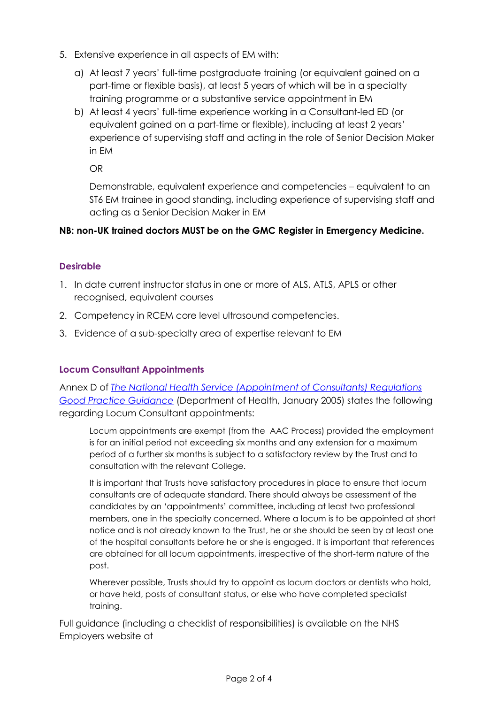- 5. Extensive experience in all aspects of EM with:
	- a) At least 7 years' full-time postgraduate training (or equivalent gained on a part-time or flexible basis), at least 5 years of which will be in a specialty training programme or a substantive service appointment in EM
	- b) At least 4 years' full-time experience working in a Consultant-led ED (or equivalent gained on a part-time or flexible), including at least 2 years' experience of supervising staff and acting in the role of Senior Decision Maker in EM

OR

Demonstrable, equivalent experience and competencies – equivalent to an ST6 EM trainee in good standing, including experience of supervising staff and acting as a Senior Decision Maker in EM

#### **NB: non-UK trained doctors MUST be on the GMC Register in Emergency Medicine.**

#### **Desirable**

- 1. In date current instructor status in one or more of ALS, ATLS, APLS or other recognised, equivalent courses
- 2. Competency in RCEM core level ultrasound competencies.
- 3. Evidence of a sub-specialty area of expertise relevant to EM

### **Locum Consultant Appointments**

Annex D of *[The National Health Service \(Appointment of Consultants\) Regulations](https://webarchive.nationalarchives.gov.uk/20130103004835/http:/www.dh.gov.uk/prod_consum_dh/groups/dh_digitalassets/@dh/@en/documents/digitalasset/dh_4102750.pdf)  [Good Practice Guidance](https://webarchive.nationalarchives.gov.uk/20130103004835/http:/www.dh.gov.uk/prod_consum_dh/groups/dh_digitalassets/@dh/@en/documents/digitalasset/dh_4102750.pdf)* (Department of Health, January 2005) states the following regarding Locum Consultant appointments:

Locum appointments are exempt (from the AAC Process) provided the employment is for an initial period not exceeding six months and any extension for a maximum period of a further six months is subject to a satisfactory review by the Trust and to consultation with the relevant College.

It is important that Trusts have satisfactory procedures in place to ensure that locum consultants are of adequate standard. There should always be assessment of the candidates by an 'appointments' committee, including at least two professional members, one in the specialty concerned. Where a locum is to be appointed at short notice and is not already known to the Trust, he or she should be seen by at least one of the hospital consultants before he or she is engaged. It is important that references are obtained for all locum appointments, irrespective of the short-term nature of the post.

Wherever possible, Trusts should try to appoint as locum doctors or dentists who hold, or have held, posts of consultant status, or else who have completed specialist training.

Full guidance (including a checklist of responsibilities) is available on the NHS Employers website at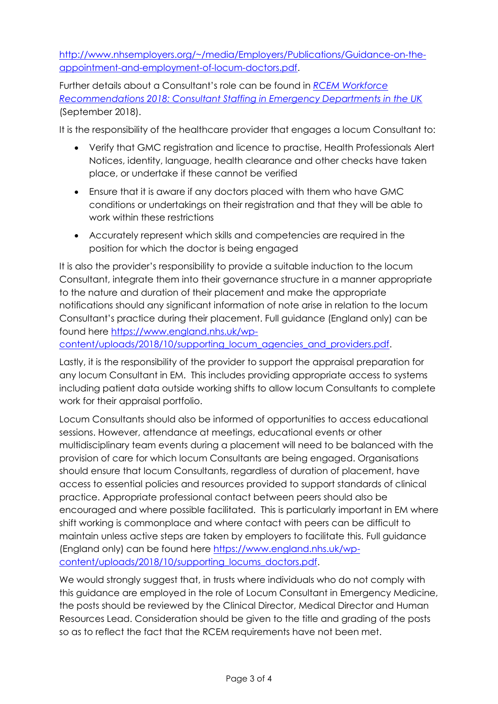[http://www.nhsemployers.org/~/media/Employers/Publications/Guidance-on-the](http://www.nhsemployers.org/~/media/Employers/Publications/Guidance-on-the-appointment-and-employment-of-locum-doctors.pdf)[appointment-and-employment-of-locum-doctors.pdf.](http://www.nhsemployers.org/~/media/Employers/Publications/Guidance-on-the-appointment-and-employment-of-locum-doctors.pdf)

Further details about a Consultant's role can be found in *[RCEM Workforce](http://www.rcem.ac.uk/docs/Workforce/RCEM%20Workforce%20Recommendations%202018%20-%20Consultant%20Staffing.pdf)  [Recommendations 2018: Consultant Staffing in Emergency Departments in the UK](http://www.rcem.ac.uk/docs/Workforce/RCEM%20Workforce%20Recommendations%202018%20-%20Consultant%20Staffing.pdf)* (September 2018).

It is the responsibility of the healthcare provider that engages a locum Consultant to:

- Verify that GMC registration and licence to practise, Health Professionals Alert Notices, identity, language, health clearance and other checks have taken place, or undertake if these cannot be verified
- Ensure that it is aware if any doctors placed with them who have GMC conditions or undertakings on their registration and that they will be able to work within these restrictions
- Accurately represent which skills and competencies are required in the position for which the doctor is being engaged

It is also the provider's responsibility to provide a suitable induction to the locum Consultant, integrate them into their governance structure in a manner appropriate to the nature and duration of their placement and make the appropriate notifications should any significant information of note arise in relation to the locum Consultant's practice during their placement. Full guidance (England only) can be found here [https://www.england.nhs.uk/wp-](https://www.england.nhs.uk/wp-content/uploads/2018/10/supporting_locum_agencies_and_providers.pdf)

[content/uploads/2018/10/supporting\\_locum\\_agencies\\_and\\_providers.pdf.](https://www.england.nhs.uk/wp-content/uploads/2018/10/supporting_locum_agencies_and_providers.pdf)

Lastly, it is the responsibility of the provider to support the appraisal preparation for any locum Consultant in EM. This includes providing appropriate access to systems including patient data outside working shifts to allow locum Consultants to complete work for their appraisal portfolio.

Locum Consultants should also be informed of opportunities to access educational sessions. However, attendance at meetings, educational events or other multidisciplinary team events during a placement will need to be balanced with the provision of care for which locum Consultants are being engaged. Organisations should ensure that locum Consultants, regardless of duration of placement, have access to essential policies and resources provided to support standards of clinical practice. Appropriate professional contact between peers should also be encouraged and where possible facilitated. This is particularly important in EM where shift working is commonplace and where contact with peers can be difficult to maintain unless active steps are taken by employers to facilitate this. Full guidance (England only) can be found here [https://www.england.nhs.uk/wp](https://www.england.nhs.uk/wp-content/uploads/2018/10/supporting_locums_doctors.pdf)[content/uploads/2018/10/supporting\\_locums\\_doctors.pdf.](https://www.england.nhs.uk/wp-content/uploads/2018/10/supporting_locums_doctors.pdf)

We would strongly suggest that, in trusts where individuals who do not comply with this guidance are employed in the role of Locum Consultant in Emergency Medicine, the posts should be reviewed by the Clinical Director, Medical Director and Human Resources Lead. Consideration should be given to the title and grading of the posts so as to reflect the fact that the RCEM requirements have not been met.